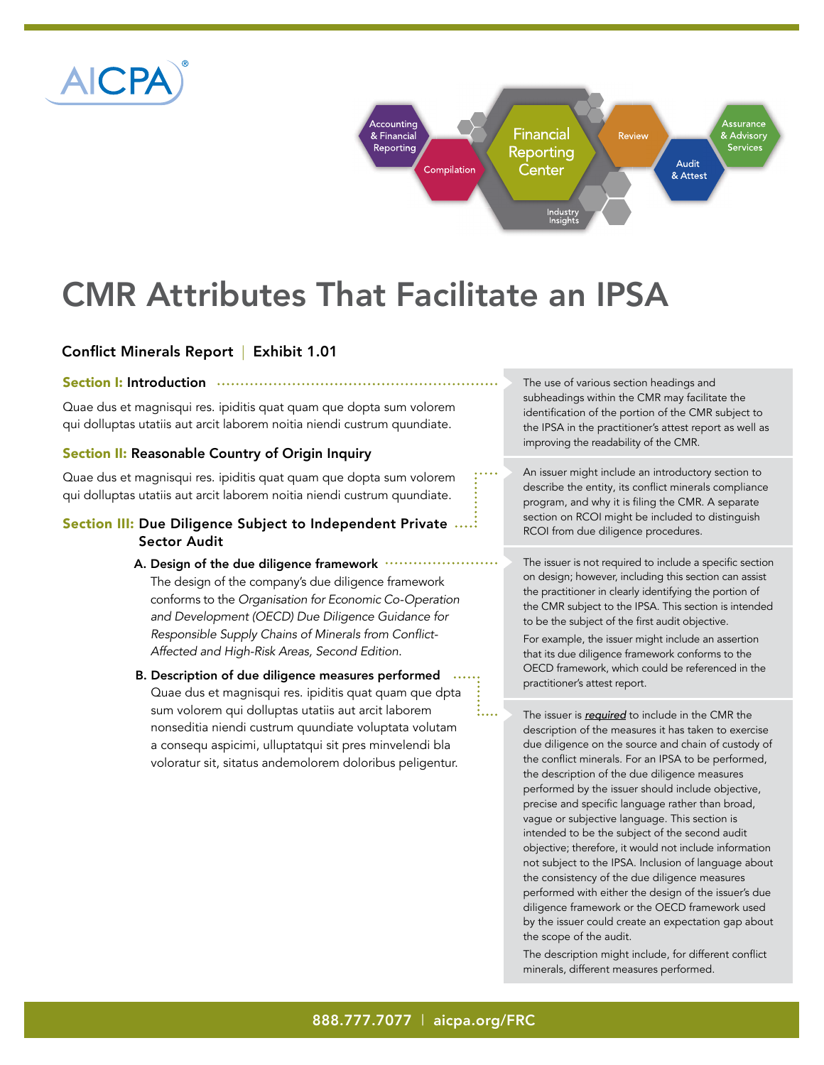



# CMR Attributes That Facilitate an IPSA

## Conflict Minerals Report | Exhibit 1.01

#### Section I: Introduction

Quae dus et magnisqui res. ipiditis quat quam que dopta sum volorem qui dolluptas utatiis aut arcit laborem noitia niendi custrum quundiate.

### Section II: Reasonable Country of Origin Inquiry

Quae dus et magnisqui res. ipiditis quat quam que dopta sum volorem qui dolluptas utatiis aut arcit laborem noitia niendi custrum quundiate.

## Section III: Due Diligence Subject to Independent Private ....: Sector Audit

- A. Design of the due diligence framework .... The design of the company's due diligence framework conforms to the *Organisation for Economic Co-Operation and Development (OECD) Due Diligence Guidance for*  Responsible Supply Chains of Minerals from Conflict-*Affected and High-Risk Areas, Second Edition*.
- B. Description of due diligence measures performed Quae dus et magnisqui res. ipiditis quat quam que dpta sum volorem qui dolluptas utatiis aut arcit laborem nonseditia niendi custrum quundiate voluptata volutam a consequ aspicimi, ulluptatqui sit pres minvelendi bla voloratur sit, sitatus andemolorem doloribus peligentur.

The use of various section headings and subheadings within the CMR may facilitate the identification of the portion of the CMR subject to the IPSA in the practitioner's attest report as well as improving the readability of the CMR.

An issuer might include an introductory section to describe the entity, its conflict minerals compliance program, and why it is filing the CMR. A separate section on RCOI might be included to distinguish RCOI from due diligence procedures.

The issuer is not required to include a specific section on design; however, including this section can assist the practitioner in clearly identifying the portion of the CMR subject to the IPSA. This section is intended to be the subject of the first audit objective.

For example, the issuer might include an assertion that its due diligence framework conforms to the OECD framework, which could be referenced in the practitioner's attest report.

The issuer is *required* to include in the CMR the description of the measures it has taken to exercise due diligence on the source and chain of custody of the conflict minerals. For an IPSA to be performed, the description of the due diligence measures performed by the issuer should include objective, precise and specific language rather than broad, vague or subjective language. This section is intended to be the subject of the second audit objective; therefore, it would not include information not subject to the IPSA. Inclusion of language about the consistency of the due diligence measures performed with either the design of the issuer's due diligence framework or the OECD framework used by the issuer could create an expectation gap about the scope of the audit.

The description might include, for different conflict minerals, different measures performed.

i....